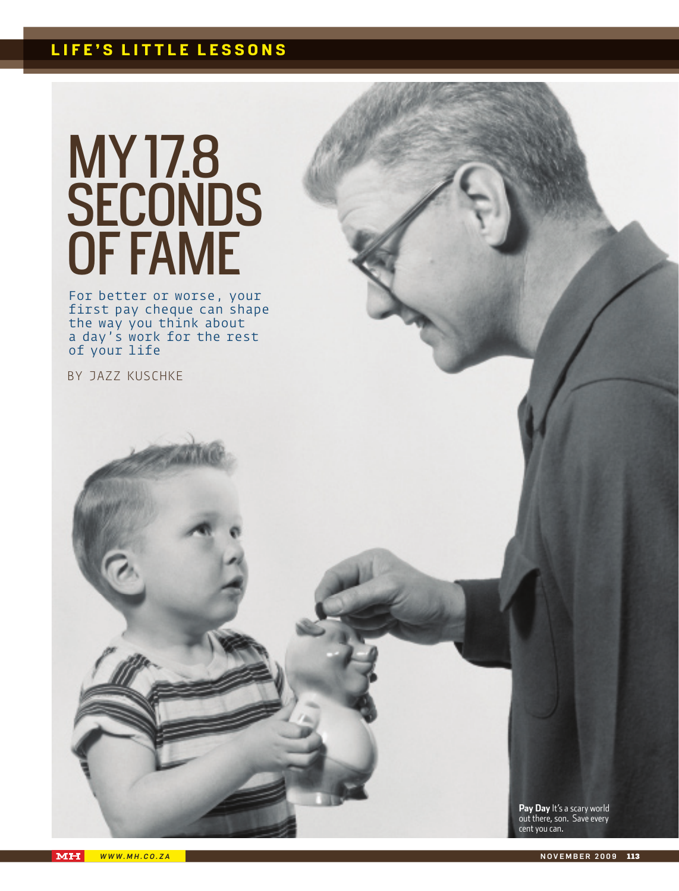## **life's little lessons**

# my 17.8 SECONDS of fame

For better or worse, your first pay cheque can shape the way you think about a day's work for the rest of your life

By jazz kuschke

**Pay Day** It's a scary world out there, son. Save every cent you can.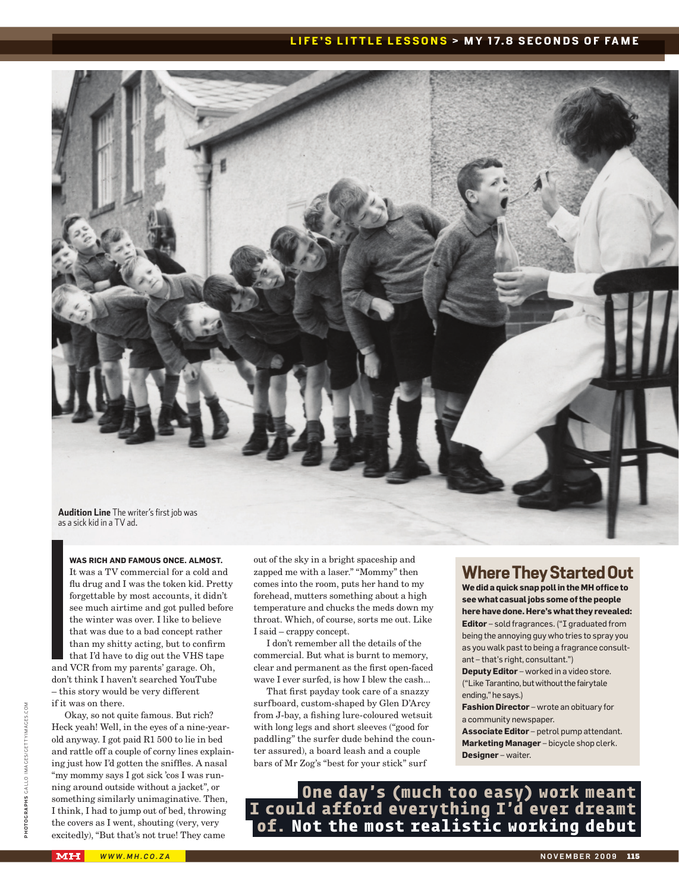#### **LIFE'S LITTLE LESSONS > MY 17.8 SECONDS OF FAME**



**was rich and famous once. Almost.** It was a TV commercial for a cold and flu drug and I was the token kid. Pretty forgettable by most accounts, it didn't see much airtime and got pulled before the winter was over. I like to believe that was due to a bad concept rather than my shitty acting, but to confirm that I'd have to dig out the VHS tape and VCR from my parents' garage. Oh, don't think I haven't searched YouTube – this story would be very different if it was on there.

Okay, so not quite famous. But rich? Heck yeah! Well, in the eyes of a nine-yearold anyway. I got paid R1 500 to lie in bed and rattle off a couple of corny lines explaining just how I'd gotten the sniffles. A nasal "my mommy says I got sick 'cos I was running around outside without a jacket", or something similarly unimaginative. Then, I think, I had to jump out of bed, throwing the covers as I went, shouting (very, very excitedly), "But that's not true! They came

out of the sky in a bright spaceship and zapped me with a laser." "Mommy" then comes into the room, puts her hand to my forehead, mutters something about a high temperature and chucks the meds down my throat. Which, of course, sorts me out. Like I said – crappy concept.

I don't remember all the details of the commercial. But what is burnt to memory, clear and permanent as the first open-faced wave I ever surfed, is how I blew the cash...

That first payday took care of a snazzy surfboard, custom-shaped by Glen D'Arcy from J-bay, a fishing lure-coloured wetsuit with long legs and short sleeves ("good for paddling" the surfer dude behind the counter assured), a board leash and a couple bars of Mr Zog's "best for your stick" surf

## **Where They Started Out**

**We did a quick snap poll in the MH office to see what casual jobs some of the people here have done. Here's what they revealed: Editor** – sold fragrances. ("I graduated from being the annoying guy who tries to spray you as you walk past to being a fragrance consultant – that's right, consultant.")

**Deputy Editor** – worked in a video store. ("Like Tarantino, but without the fairytale ending," he says.)

**Fashion Director** – wrote an obituary for a community newspaper.

**Associate Editor** – petrol pump attendant. **Marketing Manager** – bicycle shop clerk. **Designer** – waiter.

**One day's (much too easy) work meant I could afford everything I'd ever dreamt of. Not the most realistic working debut**